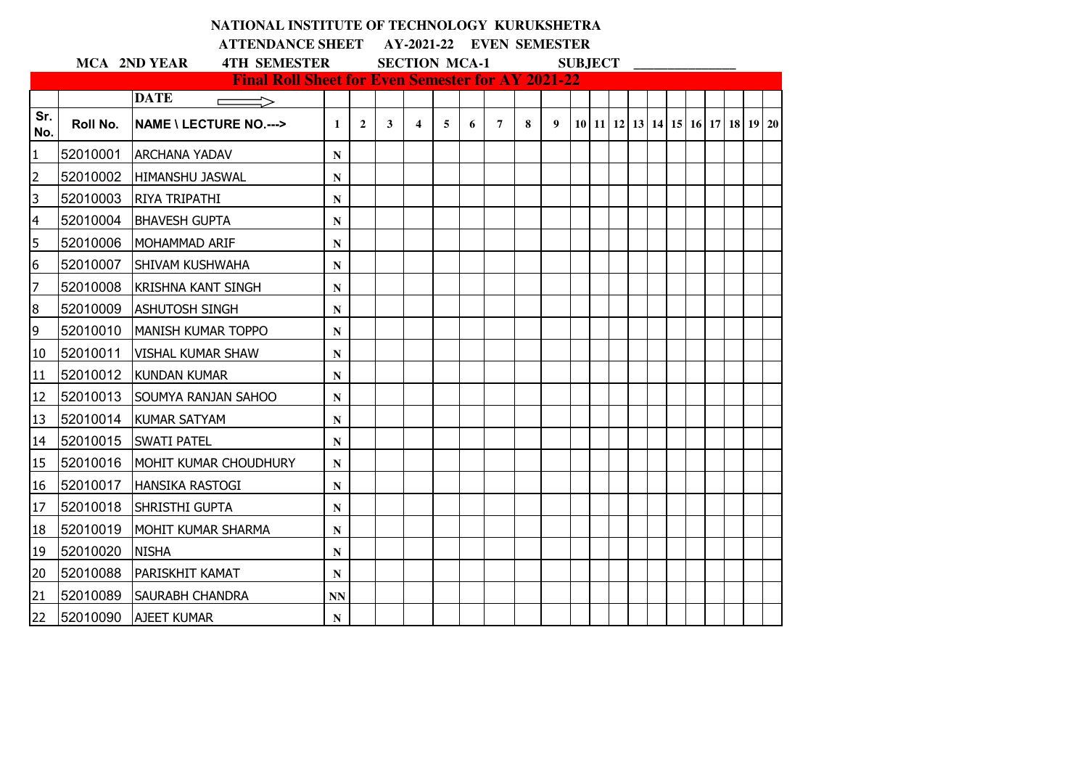|                 |          | NATIONAL INSTITUTE OF TECHNOLOGY KURUKSHETRA                            |              |                |   |                         |   |   |                |   |                  |                |  |  |  |                                  |  |
|-----------------|----------|-------------------------------------------------------------------------|--------------|----------------|---|-------------------------|---|---|----------------|---|------------------|----------------|--|--|--|----------------------------------|--|
|                 |          | ATTENDANCE SHEET AY-2021-22 EVEN SEMESTER                               |              |                |   |                         |   |   |                |   |                  |                |  |  |  |                                  |  |
|                 |          | <b>4TH SEMESTER</b><br><b>MCA 2ND YEAR</b>                              |              |                |   | <b>SECTION MCA-1</b>    |   |   |                |   |                  | <b>SUBJECT</b> |  |  |  |                                  |  |
|                 |          | <b>Final Roll Sheet for Even Semester for AY 2021-22</b><br><b>DATE</b> |              |                |   |                         |   |   |                |   |                  |                |  |  |  |                                  |  |
| Sr.<br>No.      | Roll No. | <b>NAME \ LECTURE NO.---&gt;</b>                                        | $\mathbf{1}$ | $\overline{2}$ | 3 | $\overline{\mathbf{4}}$ | 5 | 6 | $\overline{7}$ | 8 | $\boldsymbol{9}$ |                |  |  |  | 10 11 12 13 14 15 16 17 18 19 20 |  |
| 1               | 52010001 | <b>ARCHANA YADAV</b>                                                    | $\mathbf N$  |                |   |                         |   |   |                |   |                  |                |  |  |  |                                  |  |
| $\overline{2}$  | 52010002 | HIMANSHU JASWAL                                                         | ${\bf N}$    |                |   |                         |   |   |                |   |                  |                |  |  |  |                                  |  |
| 3               | 52010003 | <b>RIYA TRIPATHI</b>                                                    | N            |                |   |                         |   |   |                |   |                  |                |  |  |  |                                  |  |
| 4               | 52010004 | <b>BHAVESH GUPTA</b>                                                    | ${\bf N}$    |                |   |                         |   |   |                |   |                  |                |  |  |  |                                  |  |
| 5               | 52010006 | <b>MOHAMMAD ARIF</b>                                                    | ${\bf N}$    |                |   |                         |   |   |                |   |                  |                |  |  |  |                                  |  |
| 6               | 52010007 | <b>SHIVAM KUSHWAHA</b>                                                  | ${\bf N}$    |                |   |                         |   |   |                |   |                  |                |  |  |  |                                  |  |
| 7               | 52010008 | <b>KRISHNA KANT SINGH</b>                                               | ${\bf N}$    |                |   |                         |   |   |                |   |                  |                |  |  |  |                                  |  |
| 8               | 52010009 | <b>ASHUTOSH SINGH</b>                                                   | ${\bf N}$    |                |   |                         |   |   |                |   |                  |                |  |  |  |                                  |  |
| 9               | 52010010 | <b>MANISH KUMAR TOPPO</b>                                               | ${\bf N}$    |                |   |                         |   |   |                |   |                  |                |  |  |  |                                  |  |
| 10              | 52010011 | <b>VISHAL KUMAR SHAW</b>                                                | N            |                |   |                         |   |   |                |   |                  |                |  |  |  |                                  |  |
| 11              | 52010012 | <b>KUNDAN KUMAR</b>                                                     | N            |                |   |                         |   |   |                |   |                  |                |  |  |  |                                  |  |
| 12              | 52010013 | <b>SOUMYA RANJAN SAHOO</b>                                              | ${\bf N}$    |                |   |                         |   |   |                |   |                  |                |  |  |  |                                  |  |
| 13              | 52010014 | <b>KUMAR SATYAM</b>                                                     | ${\bf N}$    |                |   |                         |   |   |                |   |                  |                |  |  |  |                                  |  |
| 14              | 52010015 | <b>SWATI PATEL</b>                                                      | ${\bf N}$    |                |   |                         |   |   |                |   |                  |                |  |  |  |                                  |  |
| 15              | 52010016 | MOHIT KUMAR CHOUDHURY                                                   | N            |                |   |                         |   |   |                |   |                  |                |  |  |  |                                  |  |
| 16              | 52010017 | <b>HANSIKA RASTOGI</b>                                                  | ${\bf N}$    |                |   |                         |   |   |                |   |                  |                |  |  |  |                                  |  |
| 17              | 52010018 | <b>SHRISTHI GUPTA</b>                                                   | ${\bf N}$    |                |   |                         |   |   |                |   |                  |                |  |  |  |                                  |  |
| 18              | 52010019 | <b>IMOHIT KUMAR SHARMA</b>                                              | ${\bf N}$    |                |   |                         |   |   |                |   |                  |                |  |  |  |                                  |  |
| 19              | 52010020 | <b>NISHA</b>                                                            | $\mathbf N$  |                |   |                         |   |   |                |   |                  |                |  |  |  |                                  |  |
| 20              | 52010088 | <b>PARISKHIT KAMAT</b>                                                  | ${\bf N}$    |                |   |                         |   |   |                |   |                  |                |  |  |  |                                  |  |
| 21              | 52010089 | <b>ISAURABH CHANDRA</b>                                                 | <b>NN</b>    |                |   |                         |   |   |                |   |                  |                |  |  |  |                                  |  |
| 22 <sub>2</sub> | 52010090 | <b>AJEET KUMAR</b>                                                      | $\mathbf N$  |                |   |                         |   |   |                |   |                  |                |  |  |  |                                  |  |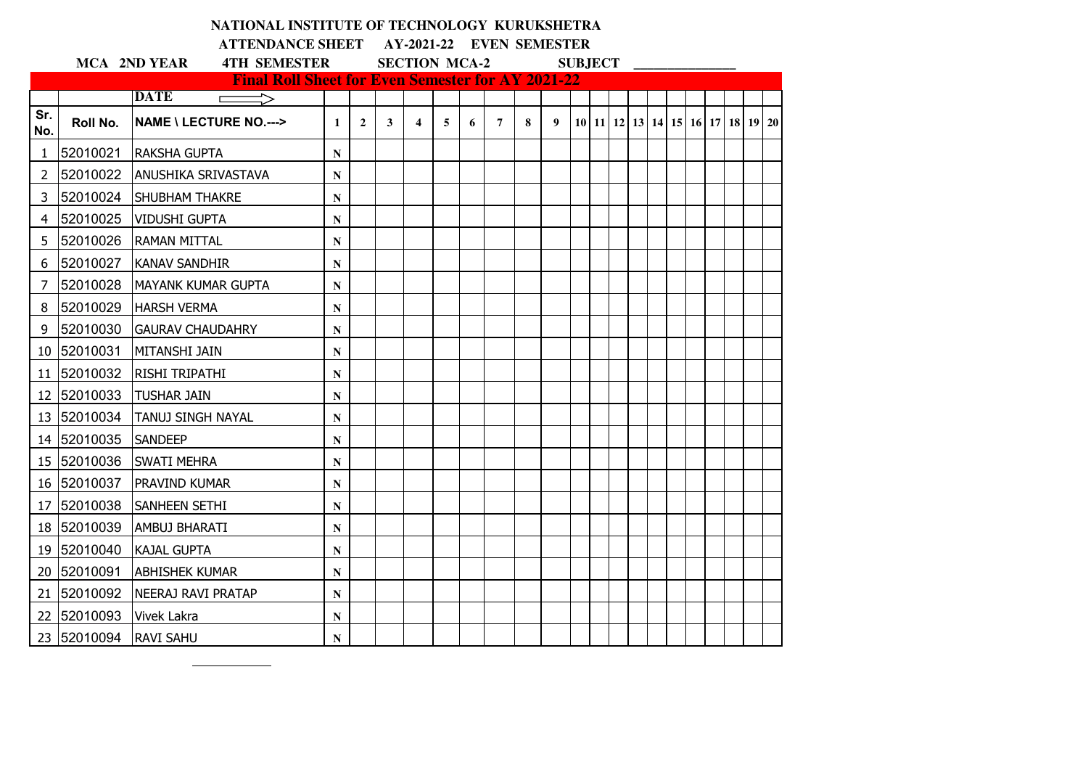|                       |             | NATIONAL INSTITUTE OF TECHNOLOGY KURUKSHETRA                            |              |                |              |                         |   |   |                          |   |   |                |  |  |  |                                  |  |
|-----------------------|-------------|-------------------------------------------------------------------------|--------------|----------------|--------------|-------------------------|---|---|--------------------------|---|---|----------------|--|--|--|----------------------------------|--|
|                       |             | <b>ATTENDANCE SHEET</b>                                                 |              |                |              |                         |   |   | AY-2021-22 EVEN SEMESTER |   |   |                |  |  |  |                                  |  |
|                       |             | <b>4TH SEMESTER</b><br><b>MCA 2ND YEAR</b>                              |              |                |              | <b>SECTION MCA-2</b>    |   |   |                          |   |   | <b>SUBJECT</b> |  |  |  |                                  |  |
|                       |             | <b>Final Roll Sheet for Even Semester for AY 2021-22</b><br><b>DATE</b> |              |                |              |                         |   |   |                          |   |   |                |  |  |  |                                  |  |
| Sr.<br>No.            | Roll No.    | <b>NAME \ LECTURE NO.---&gt;</b>                                        | $\mathbf{1}$ | $\overline{2}$ | $\mathbf{3}$ | $\overline{\mathbf{4}}$ | 5 | 6 | $\overline{7}$           | 8 | 9 |                |  |  |  | 10 11 12 13 14 15 16 17 18 19 20 |  |
| $\mathbf{1}$          | 52010021    | <b>RAKSHA GUPTA</b>                                                     | N            |                |              |                         |   |   |                          |   |   |                |  |  |  |                                  |  |
| $\mathbf{2}^{\prime}$ | 52010022    | <b>ANUSHIKA SRIVASTAVA</b>                                              | ${\bf N}$    |                |              |                         |   |   |                          |   |   |                |  |  |  |                                  |  |
| 3                     | 52010024    | <b>SHUBHAM THAKRE</b>                                                   | N            |                |              |                         |   |   |                          |   |   |                |  |  |  |                                  |  |
| 4                     | 52010025    | <b>VIDUSHI GUPTA</b>                                                    | N            |                |              |                         |   |   |                          |   |   |                |  |  |  |                                  |  |
| 5.                    | 52010026    | <b>RAMAN MITTAL</b>                                                     | $\mathbf N$  |                |              |                         |   |   |                          |   |   |                |  |  |  |                                  |  |
| 6                     | 52010027    | <b>KANAV SANDHIR</b>                                                    | N            |                |              |                         |   |   |                          |   |   |                |  |  |  |                                  |  |
| 7                     | 52010028    | MAYANK KUMAR GUPTA                                                      | N            |                |              |                         |   |   |                          |   |   |                |  |  |  |                                  |  |
| 8                     | 52010029    | <b>HARSH VERMA</b>                                                      | N            |                |              |                         |   |   |                          |   |   |                |  |  |  |                                  |  |
| 9                     | 52010030    | <b>GAURAV CHAUDAHRY</b>                                                 | N            |                |              |                         |   |   |                          |   |   |                |  |  |  |                                  |  |
|                       | 10 52010031 | <b>MITANSHI JAIN</b>                                                    | N            |                |              |                         |   |   |                          |   |   |                |  |  |  |                                  |  |
|                       | 11 52010032 | <b>RISHI TRIPATHI</b>                                                   | N            |                |              |                         |   |   |                          |   |   |                |  |  |  |                                  |  |
|                       | 12 52010033 | <b>TUSHAR JAIN</b>                                                      | N            |                |              |                         |   |   |                          |   |   |                |  |  |  |                                  |  |
|                       | 13 52010034 | <b>TANUJ SINGH NAYAL</b>                                                | N            |                |              |                         |   |   |                          |   |   |                |  |  |  |                                  |  |
|                       | 14 52010035 | <b>SANDEEP</b>                                                          | $\mathbf N$  |                |              |                         |   |   |                          |   |   |                |  |  |  |                                  |  |
|                       | 15 52010036 | <b>SWATI MEHRA</b>                                                      | N            |                |              |                         |   |   |                          |   |   |                |  |  |  |                                  |  |
|                       | 16 52010037 | <b>IPRAVIND KUMAR</b>                                                   | N            |                |              |                         |   |   |                          |   |   |                |  |  |  |                                  |  |
|                       | 17 52010038 | <b>ISANHEEN SETHI</b>                                                   | $\mathbf N$  |                |              |                         |   |   |                          |   |   |                |  |  |  |                                  |  |
|                       | 18 52010039 | AMBUJ BHARATI                                                           | N            |                |              |                         |   |   |                          |   |   |                |  |  |  |                                  |  |
|                       | 19 52010040 | <b>KAJAL GUPTA</b>                                                      | N            |                |              |                         |   |   |                          |   |   |                |  |  |  |                                  |  |
|                       | 20 52010091 | <b>ABHISHEK KUMAR</b>                                                   | N            |                |              |                         |   |   |                          |   |   |                |  |  |  |                                  |  |
|                       | 21 52010092 | NEERAJ RAVI PRATAP                                                      | N            |                |              |                         |   |   |                          |   |   |                |  |  |  |                                  |  |
|                       | 22 52010093 | <b>Vivek Lakra</b>                                                      | N            |                |              |                         |   |   |                          |   |   |                |  |  |  |                                  |  |
|                       | 23 52010094 | <b>RAVI SAHU</b>                                                        | N            |                |              |                         |   |   |                          |   |   |                |  |  |  |                                  |  |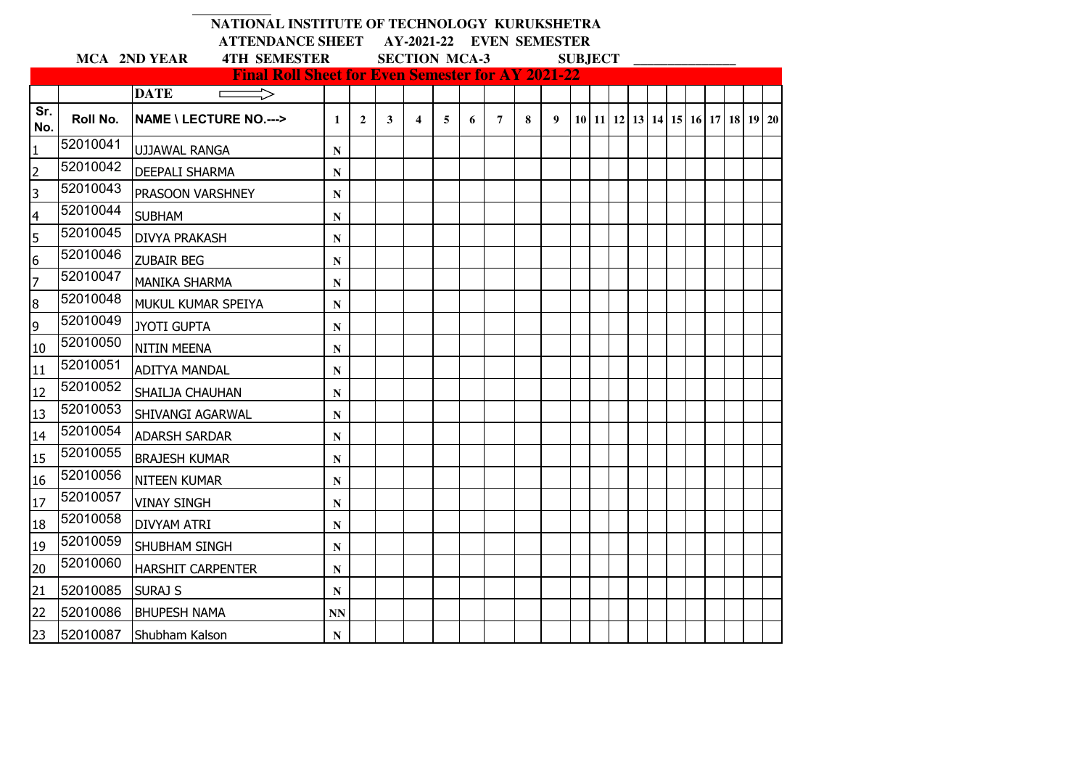|                         |              | NATIONAL INSTITUTE OF TECHNOLOGY KURUKSHETRA             |              |                          |   |                         |   |   |                |   |   |                |  |  |  |  |  |                                                      |  |
|-------------------------|--------------|----------------------------------------------------------|--------------|--------------------------|---|-------------------------|---|---|----------------|---|---|----------------|--|--|--|--|--|------------------------------------------------------|--|
|                         |              | <b>ATTENDANCE SHEET</b>                                  |              | AY-2021-22 EVEN SEMESTER |   |                         |   |   |                |   |   |                |  |  |  |  |  |                                                      |  |
|                         | MCA 2ND YEAR | <b>4TH SEMESTER</b>                                      |              | <b>SECTION MCA-3</b>     |   |                         |   |   |                |   |   | <b>SUBJECT</b> |  |  |  |  |  |                                                      |  |
|                         |              | <b>Final Roll Sheet for Even Semester for AY 2021-22</b> |              |                          |   |                         |   |   |                |   |   |                |  |  |  |  |  |                                                      |  |
|                         |              | <b>DATE</b>                                              |              |                          |   |                         |   |   |                |   |   |                |  |  |  |  |  |                                                      |  |
| Sr.<br>No.              | Roll No.     | <b>NAME \ LECTURE NO.---&gt;</b>                         | $\mathbf{1}$ | $\overline{2}$           | 3 | $\overline{\mathbf{4}}$ | 5 | 6 | $\overline{7}$ | 8 | 9 |                |  |  |  |  |  | 10   11   12   13   14   15   16   17   18   19   20 |  |
| $\mathbf{1}$            | 52010041     | <b>UJJAWAL RANGA</b>                                     | N            |                          |   |                         |   |   |                |   |   |                |  |  |  |  |  |                                                      |  |
| $\overline{2}$          | 52010042     | <b>DEEPALI SHARMA</b>                                    | N            |                          |   |                         |   |   |                |   |   |                |  |  |  |  |  |                                                      |  |
| $\overline{\mathbf{3}}$ | 52010043     | PRASOON VARSHNEY                                         | N            |                          |   |                         |   |   |                |   |   |                |  |  |  |  |  |                                                      |  |
| $\overline{4}$          | 52010044     | <b>SUBHAM</b>                                            | N            |                          |   |                         |   |   |                |   |   |                |  |  |  |  |  |                                                      |  |
| 5                       | 52010045     | <b>DIVYA PRAKASH</b>                                     | N            |                          |   |                         |   |   |                |   |   |                |  |  |  |  |  |                                                      |  |
| $\overline{6}$          | 52010046     | <b>ZUBAIR BEG</b>                                        | ${\bf N}$    |                          |   |                         |   |   |                |   |   |                |  |  |  |  |  |                                                      |  |
| $\overline{7}$          | 52010047     | <b>MANIKA SHARMA</b>                                     | N            |                          |   |                         |   |   |                |   |   |                |  |  |  |  |  |                                                      |  |
| $\bf 8$                 | 52010048     | MUKUL KUMAR SPEIYA                                       | $\mathbf N$  |                          |   |                         |   |   |                |   |   |                |  |  |  |  |  |                                                      |  |
| 9                       | 52010049     | <b>JYOTI GUPTA</b>                                       | $\mathbf N$  |                          |   |                         |   |   |                |   |   |                |  |  |  |  |  |                                                      |  |
| 10                      | 52010050     | <b>NITIN MEENA</b>                                       | N            |                          |   |                         |   |   |                |   |   |                |  |  |  |  |  |                                                      |  |
| 11                      | 52010051     | <b>ADITYA MANDAL</b>                                     | N            |                          |   |                         |   |   |                |   |   |                |  |  |  |  |  |                                                      |  |
| 12                      | 52010052     | SHAILJA CHAUHAN                                          | $\mathbf N$  |                          |   |                         |   |   |                |   |   |                |  |  |  |  |  |                                                      |  |
| 13                      | 52010053     | SHIVANGI AGARWAL                                         | $\mathbf N$  |                          |   |                         |   |   |                |   |   |                |  |  |  |  |  |                                                      |  |
| 14                      | 52010054     | <b>ADARSH SARDAR</b>                                     | N            |                          |   |                         |   |   |                |   |   |                |  |  |  |  |  |                                                      |  |
| 15                      | 52010055     | <b>BRAJESH KUMAR</b>                                     | N            |                          |   |                         |   |   |                |   |   |                |  |  |  |  |  |                                                      |  |
| 16                      | 52010056     | <b>NITEEN KUMAR</b>                                      | N            |                          |   |                         |   |   |                |   |   |                |  |  |  |  |  |                                                      |  |
| 17                      | 52010057     | <b>VINAY SINGH</b>                                       | $\mathbf N$  |                          |   |                         |   |   |                |   |   |                |  |  |  |  |  |                                                      |  |
| 18                      | 52010058     | <b>DIVYAM ATRI</b>                                       | N            |                          |   |                         |   |   |                |   |   |                |  |  |  |  |  |                                                      |  |
| 19                      | 52010059     | SHUBHAM SINGH                                            | N            |                          |   |                         |   |   |                |   |   |                |  |  |  |  |  |                                                      |  |
| 20                      | 52010060     | <b>HARSHIT CARPENTER</b>                                 | $\mathbf N$  |                          |   |                         |   |   |                |   |   |                |  |  |  |  |  |                                                      |  |
| 21                      | 52010085     | <b>SURAJ S</b>                                           | N            |                          |   |                         |   |   |                |   |   |                |  |  |  |  |  |                                                      |  |
| 22                      | 52010086     | <b>BHUPESH NAMA</b>                                      | <b>NN</b>    |                          |   |                         |   |   |                |   |   |                |  |  |  |  |  |                                                      |  |
| 23                      | 52010087     | Shubham Kalson                                           | N            |                          |   |                         |   |   |                |   |   |                |  |  |  |  |  |                                                      |  |